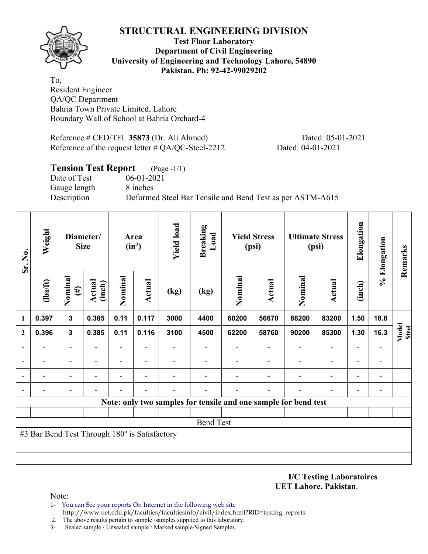

### **Test Floor Laboratory Department of Civil Engineering University of Engineering and Technology Lahore, 54890 Pakistan. Ph: 92-42-99029202**

To, Resident Engineer QA/QC Department Bahria Town Private Limited, Lahore Boundary Wall of School at Bahria Orchard-4

Reference # CED/TFL **35873** (Dr. Ali Ahmed) Dated: 05-01-2021 Reference of the request letter # QA/QC-Steel-2212 Dated: 04-01-2021

### **Tension Test Report** (Page -1/1)

Date of Test 06-01-2021 Gauge length 8 inches

Description Deformed Steel Bar Tensile and Bend Test as per ASTM-A615

| Sr. No.      | Weight                                        | Diameter/<br><b>Size</b> |                  | Area<br>$(in^2)$         |                          | <b>Yield load</b> | Breaking<br>Load                                                | <b>Yield Stress</b><br>(psi) |        | <b>Ultimate Stress</b><br>(psi) |                          | Elongation               | % Elongation                 | Remarks               |
|--------------|-----------------------------------------------|--------------------------|------------------|--------------------------|--------------------------|-------------------|-----------------------------------------------------------------|------------------------------|--------|---------------------------------|--------------------------|--------------------------|------------------------------|-----------------------|
|              | (lbs/ft)                                      | Nominal<br>$(\#)$        | Actual<br>(inch) | Nominal                  | Actual                   | (kg)              | (kg)                                                            | Nominal                      | Actual | Nominal                         | Actual                   | (inch)                   |                              |                       |
| 1            | 0.397                                         | $\mathbf{3}$             | 0.385            | 0.11                     | 0.117                    | 3000              | 4400                                                            | 60200                        | 56670  | 88200                           | 83200                    | 1.50                     | 18.8                         |                       |
| $\mathbf{2}$ | 0.396                                         | $\mathbf{3}$             | 0.385            | 0.11                     | 0.116                    | 3100              | 4500                                                            | 62200                        | 58760  | 90200                           | 85300                    | 1.30                     | 16.3                         | Model<br><b>Steel</b> |
|              |                                               | $\overline{\phantom{0}}$ |                  | $\overline{\phantom{0}}$ |                          |                   |                                                                 |                              |        |                                 | $\overline{\phantom{0}}$ |                          |                              |                       |
|              |                                               | $\overline{\phantom{0}}$ |                  | $\overline{\phantom{0}}$ | $\overline{\phantom{0}}$ |                   |                                                                 |                              |        |                                 | $\overline{\phantom{a}}$ | $\overline{\phantom{0}}$ | $\qquad \qquad \blacksquare$ |                       |
|              |                                               | $\overline{\phantom{0}}$ |                  | -                        |                          |                   |                                                                 |                              |        |                                 |                          | $\overline{\phantom{0}}$ | $\overline{\phantom{a}}$     |                       |
|              |                                               |                          |                  |                          |                          |                   |                                                                 |                              |        |                                 |                          |                          | -                            |                       |
|              |                                               |                          |                  |                          |                          |                   | Note: only two samples for tensile and one sample for bend test |                              |        |                                 |                          |                          |                              |                       |
|              |                                               |                          |                  |                          |                          |                   |                                                                 |                              |        |                                 |                          |                          |                              |                       |
|              |                                               |                          |                  |                          |                          |                   | <b>Bend Test</b>                                                |                              |        |                                 |                          |                          |                              |                       |
|              | #3 Bar Bend Test Through 180° is Satisfactory |                          |                  |                          |                          |                   |                                                                 |                              |        |                                 |                          |                          |                              |                       |
|              |                                               |                          |                  |                          |                          |                   |                                                                 |                              |        |                                 |                          |                          |                              |                       |
|              |                                               |                          |                  |                          |                          |                   |                                                                 |                              |        |                                 |                          |                          |                              |                       |

#### **I/C Testing Laboratoires UET Lahore, Pakistan**.

- 1- You can See your reports On Internet in the following web site http://www.uet.edu.pk/faculties/facultiesinfo/civil/index.html?RID=testing\_reports
- 2. The above results pertain to sample /samples supplied to this laboratory.
- 3- Sealed sample / Unsealed sample / Marked sample/Signed Samples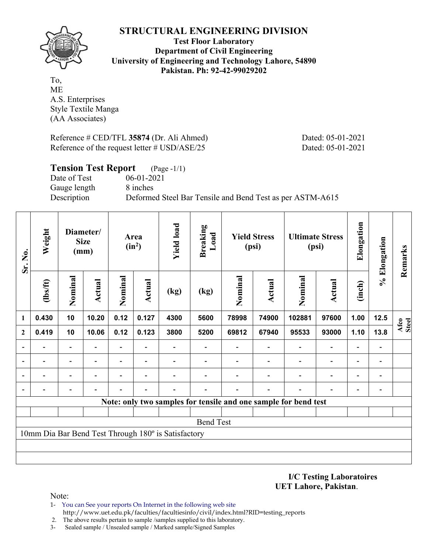

**Test Floor Laboratory Department of Civil Engineering University of Engineering and Technology Lahore, 54890 Pakistan. Ph: 92-42-99029202** 

To, ME A.S. Enterprises Style Textile Manga (AA Associates)

Reference # CED/TFL **35874** (Dr. Ali Ahmed) Dated: 05-01-2021 Reference of the request letter # USD/ASE/25 Dated: 05-01-2021

| <b>Tension Test Report</b> | $(Page - 1/1)$                                            |
|----------------------------|-----------------------------------------------------------|
| Date of Test               | $06-01-2021$                                              |
| Gauge length               | 8 inches                                                  |
| Description                | Deformed Steel Bar Tensile and Bend Test as per ASTM-A615 |

| Sr. No.                  | Weight   | Diameter/<br><b>Size</b><br>(mm) |               |                          | <b>Yield load</b><br>Area<br>$(in^2)$ |                                                     | <b>Breaking</b><br>Load<br><b>Yield Stress</b><br>(psi) |         |                          | <b>Ultimate Stress</b><br>(psi)                                 | Elongation               | % Elongation             | Remarks                  |               |
|--------------------------|----------|----------------------------------|---------------|--------------------------|---------------------------------------|-----------------------------------------------------|---------------------------------------------------------|---------|--------------------------|-----------------------------------------------------------------|--------------------------|--------------------------|--------------------------|---------------|
|                          | (1bs/ft) | Nominal                          | <b>Actual</b> | Nominal                  | Actual                                | (kg)                                                | (kg)                                                    | Nominal | Actual                   | Nominal                                                         | Actual                   | (inch)                   |                          |               |
| 1                        | 0.430    | 10                               | 10.20         | 0.12                     | 0.127                                 | 4300                                                | 5600                                                    | 78998   | 74900                    | 102881                                                          | 97600                    | 1.00                     | 12.5                     | Afco<br>Steel |
| $\mathbf{2}$             | 0.419    | 10                               | 10.06         | 0.12                     | 0.123                                 | 3800                                                | 5200                                                    | 69812   | 67940                    | 95533                                                           | 93000                    | 1.10                     | 13.8                     |               |
|                          |          | $\overline{\phantom{0}}$         |               | $\overline{\phantom{a}}$ | $\blacksquare$                        |                                                     |                                                         |         |                          |                                                                 | $\overline{\phantom{0}}$ | $\overline{\phantom{a}}$ | $\overline{\phantom{a}}$ |               |
|                          |          | $\overline{\phantom{0}}$         |               | -                        | $\blacksquare$                        |                                                     |                                                         |         | $\overline{\phantom{0}}$ | $\overline{\phantom{0}}$                                        | -                        | $\overline{\phantom{a}}$ | $\blacksquare$           |               |
| $\overline{\phantom{a}}$ |          | $\overline{\phantom{0}}$         |               |                          |                                       |                                                     |                                                         |         |                          |                                                                 | $\overline{\phantom{0}}$ | $\overline{\phantom{a}}$ | $\blacksquare$           |               |
| $\overline{\phantom{a}}$ |          |                                  |               |                          | $\blacksquare$                        |                                                     |                                                         |         | $\overline{\phantom{0}}$ | $\overline{\phantom{0}}$                                        | $\qquad \qquad -$        | $\blacksquare$           | $\blacksquare$           |               |
|                          |          |                                  |               |                          |                                       |                                                     |                                                         |         |                          | Note: only two samples for tensile and one sample for bend test |                          |                          |                          |               |
|                          |          |                                  |               |                          |                                       |                                                     |                                                         |         |                          |                                                                 |                          |                          |                          |               |
|                          |          |                                  |               |                          |                                       |                                                     | <b>Bend Test</b>                                        |         |                          |                                                                 |                          |                          |                          |               |
|                          |          |                                  |               |                          |                                       | 10mm Dia Bar Bend Test Through 180° is Satisfactory |                                                         |         |                          |                                                                 |                          |                          |                          |               |
|                          |          |                                  |               |                          |                                       |                                                     |                                                         |         |                          |                                                                 |                          |                          |                          |               |
|                          |          |                                  |               |                          |                                       |                                                     |                                                         |         |                          |                                                                 |                          |                          |                          |               |

**I/C Testing Laboratoires UET Lahore, Pakistan**.

- 1- You can See your reports On Internet in the following web site http://www.uet.edu.pk/faculties/facultiesinfo/civil/index.html?RID=testing\_reports
- 2. The above results pertain to sample /samples supplied to this laboratory.
- 3- Sealed sample / Unsealed sample / Marked sample/Signed Samples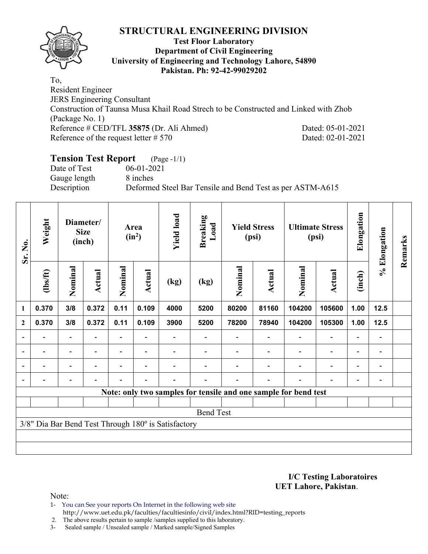

#### **Test Floor Laboratory Department of Civil Engineering University of Engineering and Technology Lahore, 54890 Pakistan. Ph: 92-42-99029202**

To, Resident Engineer JERS Engineering Consultant Construction of Taunsa Musa Khail Road Strech to be Constructed and Linked with Zhob (Package No. 1) Reference # CED/TFL **35875** (Dr. Ali Ahmed) Dated: 05-01-2021 Reference of the request letter # 570 Dated: 02-01-2021

# **Tension Test Report** (Page -1/1)

Date of Test 06-01-2021 Gauge length 8 inches

Description Deformed Steel Bar Tensile and Bend Test as per ASTM-A615

| Sr. No.        | Weight                   | Diameter/<br><b>Size</b><br>(inch) |                | Area<br>$(in^2)$ |                          | <b>Yield load</b>                                   | <b>Breaking</b><br>Load | <b>Yield Stress</b><br>(psi) |        | <b>Ultimate Stress</b><br>(psi)                                 |                          | Elongation               | % Elongation                 | Remarks |
|----------------|--------------------------|------------------------------------|----------------|------------------|--------------------------|-----------------------------------------------------|-------------------------|------------------------------|--------|-----------------------------------------------------------------|--------------------------|--------------------------|------------------------------|---------|
|                | (1bs/ft)                 | Nominal                            | Actual         | Nominal          | Actual                   | (kg)                                                | (kg)                    | Nominal                      | Actual | Nominal                                                         | Actual                   | (inch)                   |                              |         |
| $\mathbf{1}$   | 0.370                    | 3/8                                | 0.372          | 0.11             | 0.109                    | 4000                                                | 5200                    | 80200                        | 81160  | 104200                                                          | 105600                   | 1.00                     | 12.5                         |         |
| $\mathbf{2}$   | 0.370                    | 3/8                                | 0.372          | 0.11             | 0.109                    | 3900                                                | 5200                    | 78200                        | 78940  | 104200                                                          | 105300                   | 1.00                     | 12.5                         |         |
|                |                          |                                    |                |                  |                          |                                                     |                         |                              |        |                                                                 |                          |                          |                              |         |
| $\blacksquare$ | $\overline{\phantom{a}}$ | -                                  | $\blacksquare$ | $\blacksquare$   | $\overline{\phantom{a}}$ |                                                     |                         |                              |        |                                                                 | $\overline{\phantom{a}}$ | $\blacksquare$           | $\qquad \qquad \blacksquare$ |         |
|                | -                        | $\overline{\phantom{0}}$           |                |                  | ٠                        |                                                     |                         |                              |        |                                                                 | $\overline{\phantom{0}}$ | $\overline{\phantom{0}}$ | -                            |         |
|                |                          | -                                  | $\blacksquare$ | -                | $\overline{\phantom{0}}$ |                                                     |                         |                              |        |                                                                 | $\overline{\phantom{0}}$ | $\overline{\phantom{0}}$ |                              |         |
|                |                          |                                    |                |                  |                          |                                                     |                         |                              |        | Note: only two samples for tensile and one sample for bend test |                          |                          |                              |         |
|                |                          |                                    |                |                  |                          |                                                     |                         |                              |        |                                                                 |                          |                          |                              |         |
|                |                          |                                    |                |                  |                          |                                                     | <b>Bend Test</b>        |                              |        |                                                                 |                          |                          |                              |         |
|                |                          |                                    |                |                  |                          | 3/8" Dia Bar Bend Test Through 180° is Satisfactory |                         |                              |        |                                                                 |                          |                          |                              |         |
|                |                          |                                    |                |                  |                          |                                                     |                         |                              |        |                                                                 |                          |                          |                              |         |
|                |                          |                                    |                |                  |                          |                                                     |                         |                              |        |                                                                 |                          |                          |                              |         |

**I/C Testing Laboratoires UET Lahore, Pakistan**.

Note:

1- You can See your reports On Internet in the following web site http://www.uet.edu.pk/faculties/facultiesinfo/civil/index.html?RID=testing\_reports

2. The above results pertain to sample /samples supplied to this laboratory.

3- Sealed sample / Unsealed sample / Marked sample/Signed Samples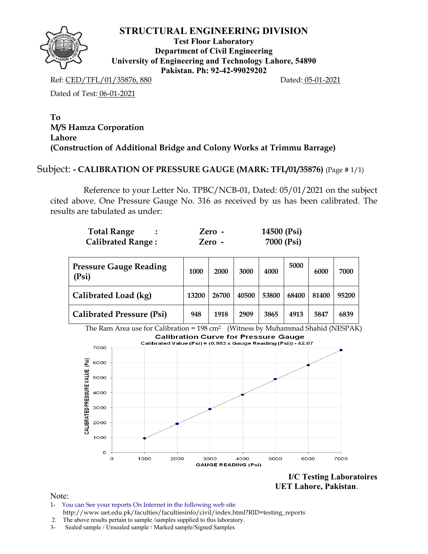

**Test Floor Laboratory Department of Civil Engineering University of Engineering and Technology Lahore, 54890 Pakistan. Ph: 92-42-99029202** 

Ref: CED/TFL/01/35876, 880 Dated: 05-01-2021

Dated of Test: 06-01-2021

### **To M/S Hamza Corporation Lahore (Construction of Additional Bridge and Colony Works at Trimmu Barrage)**

### Subject: **- CALIBRATION OF PRESSURE GAUGE (MARK: TFL/01/35876)** (Page # 1/1)

Reference to your Letter No. TPBC/NCB-01, Dated: 05/01/2021 on the subject cited above. One Pressure Gauge No. 316 as received by us has been calibrated. The results are tabulated as under:

| <b>Total Range</b>       | Zero - | 14500 (Psi) |
|--------------------------|--------|-------------|
| <b>Calibrated Range:</b> | Zero - | 7000 (Psi)  |

| <b>Pressure Gauge Reading</b><br>(Psi) | 1000  | 2000  | 3000  | 4000  | 5000  | 6000  | 7000  |
|----------------------------------------|-------|-------|-------|-------|-------|-------|-------|
| Calibrated Load (kg)                   | 13200 | 26700 | 40500 | 53800 | 68400 | 81400 | 95200 |
| <b>Calibrated Pressure (Psi)</b>       | 948   | 1918  | 2909  | 3865  | 4913  | 5847  | 6839  |

The Ram Area use for Calibration =  $198 \text{ cm}^2$  (Witness by Muhammad Shahid (NESPAK) **Calibration Curve for Pressure Gauge** Calibrated Value (Psi) = (0.983 x Gauge Reading (Psi)) - 42.07 7000 CALIBRATED PRESSURE VALUE (Psi) 6000 5000 4000 3000 2000 1000 O  $\circ$ 1000 2000 3000 4000 5000 6000 7000 **GAUGE READING (Psi)** 

> **I/C Testing Laboratoires UET Lahore, Pakistan**.

- 1- You can See your reports On Internet in the following web site http://www.uet.edu.pk/faculties/facultiesinfo/civil/index.html?RID=testing\_reports
- 2. The above results pertain to sample /samples supplied to this laboratory.
- 3- Sealed sample / Unsealed sample / Marked sample/Signed Samples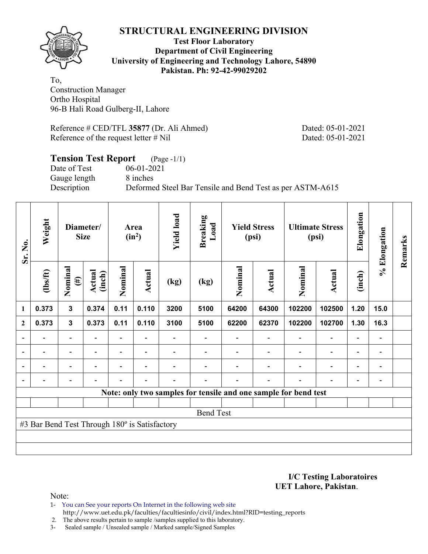

### **Test Floor Laboratory Department of Civil Engineering University of Engineering and Technology Lahore, 54890 Pakistan. Ph: 92-42-99029202**

To, Construction Manager Ortho Hospital 96-B Hali Road Gulberg-II, Lahore

Reference # CED/TFL **35877** (Dr. Ali Ahmed) Dated: 05-01-2021 Reference of the request letter # Nil Dated: 05-01-2021

### **Tension Test Report** (Page -1/1) Date of Test 06-01-2021 Gauge length 8 inches Description Deformed Steel Bar Tensile and Bend Test as per ASTM-A615

| Sr. No.                  | Weight                                        | Diameter/<br><b>Size</b>     |                          | Area<br>$(in^2)$         |                          | <b>Yield load</b> | <b>Breaking</b><br>Load | <b>Yield Stress</b><br>(psi) |                          | <b>Ultimate Stress</b><br>(psi)                                 |                          | Elongation               | % Elongation             | Remarks |
|--------------------------|-----------------------------------------------|------------------------------|--------------------------|--------------------------|--------------------------|-------------------|-------------------------|------------------------------|--------------------------|-----------------------------------------------------------------|--------------------------|--------------------------|--------------------------|---------|
|                          | (1bs/ft)                                      | Nominal<br>$(\ddot{\sharp})$ | Actual<br>(inch)         | Nominal                  | Actual                   | (kg)              | (kg)                    | Nominal                      | Actual                   | Nominal                                                         | Actual                   | (inch)                   |                          |         |
| 1                        | 0.373                                         | $\mathbf{3}$                 | 0.374                    | 0.11                     | 0.110                    | 3200              | 5100                    | 64200                        | 64300                    | 102200                                                          | 102500                   | 1.20                     | 15.0                     |         |
| $\mathbf{2}$             | 0.373                                         | $\mathbf{3}$                 | 0.373                    | 0.11                     | 0.110                    | 3100              | 5100                    | 62200                        | 62370                    | 102200                                                          | 102700                   | 1.30                     | 16.3                     |         |
| $\overline{a}$           |                                               | $\overline{\phantom{0}}$     |                          |                          |                          |                   |                         |                              |                          |                                                                 |                          |                          | $\overline{\phantom{a}}$ |         |
| $\overline{\phantom{a}}$ | $\overline{\phantom{0}}$                      | $\overline{\phantom{a}}$     | $\overline{\phantom{a}}$ | $\overline{\phantom{0}}$ | $\overline{\phantom{a}}$ |                   |                         |                              | $\overline{\phantom{0}}$ | $\blacksquare$                                                  | $\overline{\phantom{0}}$ | $\overline{\phantom{0}}$ | $\blacksquare$           |         |
| $\blacksquare$           | $\overline{\phantom{0}}$                      | $\overline{\phantom{0}}$     | ۰                        | $\overline{\phantom{0}}$ | $\overline{\phantom{0}}$ |                   |                         |                              | $\overline{\phantom{0}}$ | $\overline{\phantom{0}}$                                        | $\overline{a}$           | $\overline{\phantom{0}}$ | $\blacksquare$           |         |
| $\blacksquare$           |                                               | $\overline{\phantom{0}}$     | $\overline{\phantom{0}}$ | $\overline{\phantom{0}}$ | $\blacksquare$           | -                 |                         |                              | $\overline{\phantom{0}}$ |                                                                 | $\overline{\phantom{0}}$ | $\overline{\phantom{0}}$ | $\blacksquare$           |         |
|                          |                                               |                              |                          |                          |                          |                   |                         |                              |                          | Note: only two samples for tensile and one sample for bend test |                          |                          |                          |         |
|                          |                                               |                              |                          |                          |                          |                   |                         |                              |                          |                                                                 |                          |                          |                          |         |
|                          |                                               |                              |                          |                          |                          |                   | <b>Bend Test</b>        |                              |                          |                                                                 |                          |                          |                          |         |
|                          | #3 Bar Bend Test Through 180° is Satisfactory |                              |                          |                          |                          |                   |                         |                              |                          |                                                                 |                          |                          |                          |         |
|                          |                                               |                              |                          |                          |                          |                   |                         |                              |                          |                                                                 |                          |                          |                          |         |
|                          |                                               |                              |                          |                          |                          |                   |                         |                              |                          |                                                                 |                          |                          |                          |         |

**I/C Testing Laboratoires UET Lahore, Pakistan**.

- 1- You can See your reports On Internet in the following web site http://www.uet.edu.pk/faculties/facultiesinfo/civil/index.html?RID=testing\_reports
- 2. The above results pertain to sample /samples supplied to this laboratory.
- 3- Sealed sample / Unsealed sample / Marked sample/Signed Samples